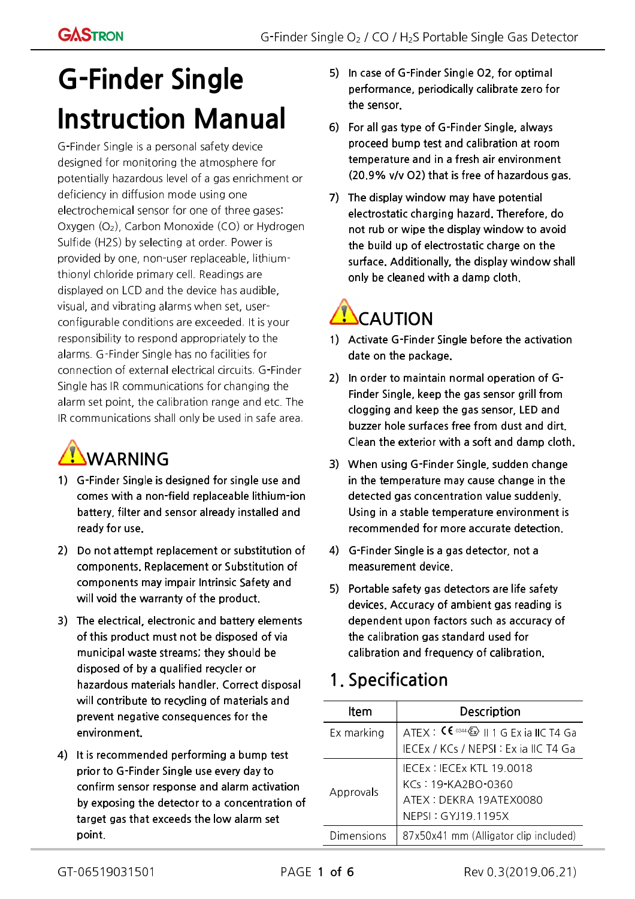# G-Finder Single Instruction Manual

G-Finder Single is a personal safety device designed for monitoring the atmosphere for potentially hazardous level of a gas enrichment or deficiency in diffusion mode using one electrochemical sensor for one of three gases: Oxygen (O2), Carbon Monoxide (CO) or Hydrogen Sulfide (H2S) by selecting at order. Power is provided by one, non-user replaceable, lithiumthionyl chloride primary cell. Readings are displayed on LCD and the device has audible, visual, and vibrating alarms when set, userconfigurable conditions are exceeded. It is your responsibility to respond appropriately to the alarms. G-Finder Single has no facilities for connection of external electrical circuits. G-Finder Single has IR communications for changing the alarm set point, the calibration range and etc. The IR communications shall only be used in safe area.

## **WARNING**

- 1) G-Finder Single is designed for single use and comes with a non-field replaceable lithium-ion battery, filter and sensor already installed and ready for use.
- 2) Do not attempt replacement or substitution of components. Replacement or Substitution of components may impair Intrinsic Safety and will void the warranty of the product.
- 3) The electrical, electronic and battery elements of this product must not be disposed of via municipal waste streams; they should be disposed of by a qualified recycler or hazardous materials handler. Correct disposal will contribute to recycling of materials and prevent negative consequences for the environment.
- 4) It is recommended performing a bump test prior to G-Finder Single use every day to confirm sensor response and alarm activation by exposing the detector to a concentration of target gas that exceeds the low alarm set point.
- 5) In case of G-Finder Single O2, for optimal performance, periodically calibrate zero for the sensor.
- 6) For all gas type of G-Finder Single, always proceed bump test and calibration at room temperature and in a fresh air environment (20.9% v/v O2) that is free of hazardous gas.
- 7) The display window may have potential electrostatic charging hazard. Therefore, do not rub or wipe the display window to avoid the build up of electrostatic charge on the surface. Additionally, the display window shall only be cleaned with a damp cloth.

## **ACAUTION**

- 1) Activate G-Finder Single before the activation date on the package.
- 2) In order to maintain normal operation of G-Finder Single, keep the gas sensor grill from clogging and keep the gas sensor, LED and buzzer hole surfaces free from dust and dirt. Clean the exterior with a soft and damp cloth.
- 3) When using G-Finder Single, sudden change in the temperature may cause change in the detected gas concentration value suddenly. Using in a stable temperature environment is recommended for more accurate detection.
- 4) G-Finder Single is a gas detector, not a measurement device.
- 5) Portable safety gas detectors are life safety devices. Accuracy of ambient gas reading is dependent upon factors such as accuracy of the calibration gas standard used for calibration and frequency of calibration.

### 1. Specification

| Item       | <b>Description</b>                                                                                  |  |
|------------|-----------------------------------------------------------------------------------------------------|--|
| Ex marking | ATEX : $\mathsf{CE} \cong \mathsf{C} \otimes \mathsf{C} \otimes \mathsf{C}$    1 G Ex ia    C T4 Ga |  |
|            | IECEx / KCs / NEPSI: ExiallCT4 Ga                                                                   |  |
| Approvals  | IECEx: IECEx KTL 19.0018                                                                            |  |
|            | KCs: 19-KA2BO-0360                                                                                  |  |
|            | ATEX: DEKRA 19ATEX0080                                                                              |  |
|            | NEPSI: GYJ19.1195X                                                                                  |  |
| Dimensions | 87x50x41 mm (Alligator clip included)                                                               |  |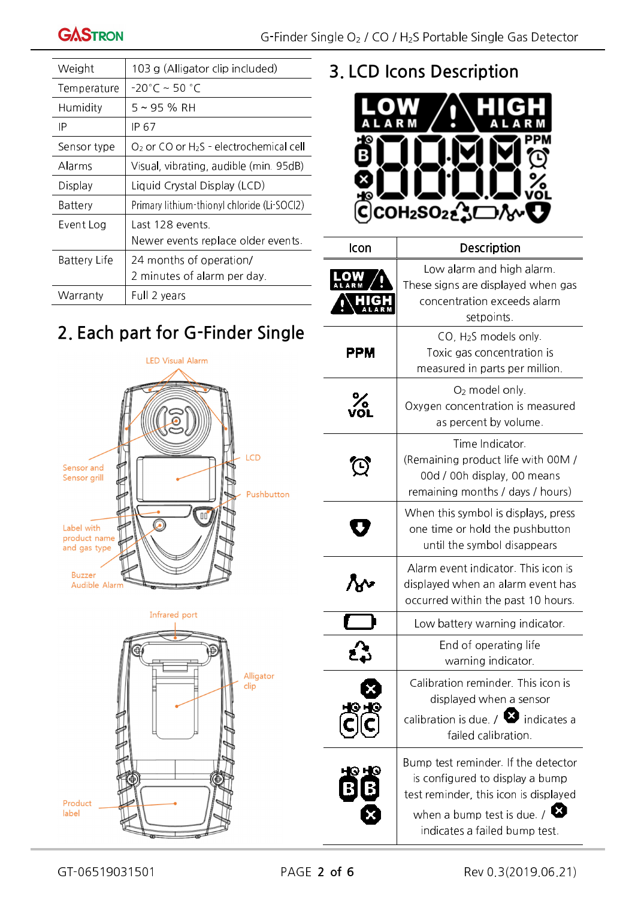| Weight              | 103 g (Alligator clip included)                       |  |
|---------------------|-------------------------------------------------------|--|
| Temperature         | $-20^{\circ}$ C ~ 50 °C                               |  |
| Humidity            | 5 ~ 95 % RH                                           |  |
| IP                  | IP 67                                                 |  |
| Sensor type         | $O2$ or CO or H <sub>2</sub> S - electrochemical cell |  |
| Alarms              | Visual, vibrating, audible (min. 95dB)                |  |
| Display             | Liquid Crystal Display (LCD)                          |  |
| Battery             | Primary lithium-thionyl chloride (Li-SOCl2)           |  |
| Event Log           | Last 128 events                                       |  |
|                     | Newer events replace older events.                    |  |
| <b>Battery Life</b> | 24 months of operation/                               |  |
|                     | 2 minutes of alarm per day.                           |  |
| Warranty            | Full 2 years                                          |  |

## 2. Each part for G-Finder Single







### 3. LCD Icons Description



| lcon | Description                                                                                                                                                                             |  |
|------|-----------------------------------------------------------------------------------------------------------------------------------------------------------------------------------------|--|
|      | Low alarm and high alarm.<br>These signs are displayed when gas<br>concentration exceeds alarm<br>setpoints.                                                                            |  |
| РРМ  | CO, H <sub>2</sub> S models only.<br>Toxic gas concentration is<br>measured in parts per million.                                                                                       |  |
|      | O <sub>2</sub> model only.<br>Oxygen concentration is measured<br>as percent by volume.                                                                                                 |  |
|      | Time Indicator.<br>(Remaining product life with 00M/<br>00d / 00h display, 00 means<br>remaining months / days / hours)                                                                 |  |
|      | When this symbol is displays, press<br>one time or hold the pushbutton<br>until the symbol disappears                                                                                   |  |
|      | Alarm event indicator. This icon is<br>displayed when an alarm event has<br>occurred within the past 10 hours.                                                                          |  |
|      | Low battery warning indicator.                                                                                                                                                          |  |
|      | End of operating life<br>warning indicator.                                                                                                                                             |  |
|      | Calibration reminder. This icon is<br>displayed when a sensor<br>calibration is due. $\sqrt{2}$ indicates a<br>failed calibration.                                                      |  |
|      | Bump test reminder. If the detector<br>is configured to display a bump<br>test reminder, this icon is displayed<br>when a bump test is due. $\sqrt{3}$<br>indicates a failed bump test. |  |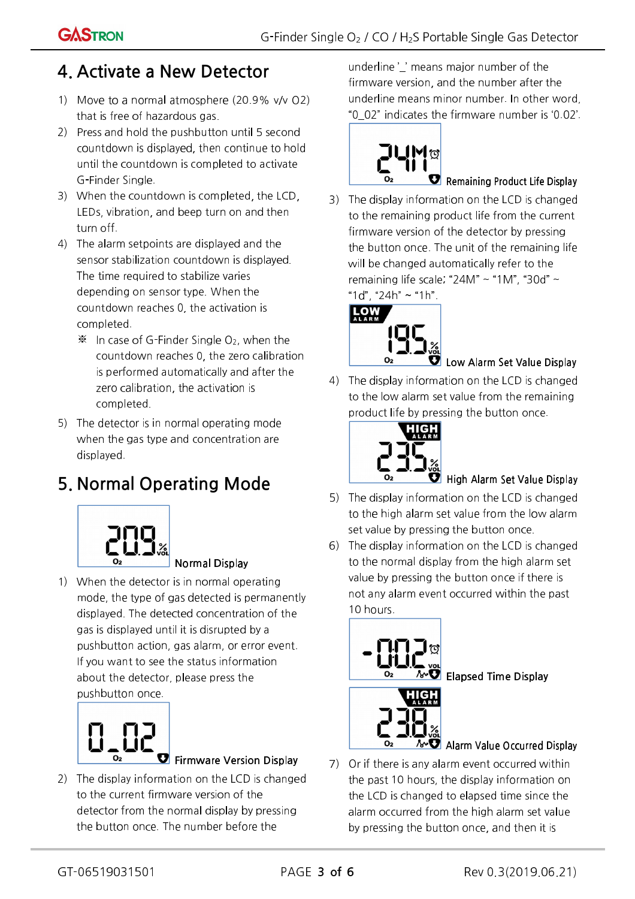### 4. Activate a New Detector

- 1) Move to a normal atmosphere (20.9% v/v O2) that is free of hazardous gas.
- 2) Press and hold the pushbutton until 5 second countdown is displayed, then continue to hold until the countdown is completed to activate G-Finder Single.
- 3) When the countdown is completed, the LCD, LEDs, vibration, and beep turn on and then turn off.
- 4) The alarm setpoints are displayed and the sensor stabilization countdown is displayed. The time required to stabilize varies depending on sensor type. When the countdown reaches 0, the activation is completed.
	- $\mathcal{K}$  In case of G-Finder Single O<sub>2</sub>, when the countdown reaches 0, the zero calibration is performed automatically and after the zero calibration, the activation is completed.
- 5) The detector is in normal operating mode when the gas type and concentration are displayed.

## 5. Normal Operating Mode



1) When the detector is in normal operating mode, the type of gas detected is permanently displayed. The detected concentration of the gas is displayed until it is disrupted by a pushbutton action, gas alarm, or error event. If you want to see the status information about the detector, please press the pushbutton once.

Normal Display



#### $\bullet$  Firmware Version Display

2) The display information on the LCD is changed to the current firmware version of the detector from the normal display by pressing the button once. The number before the

underline ' ' means major number of the firmware version, and the number after the underline means minor number. In other word, "0\_02" indicates the firmware number is '0.02'.



#### $\blacksquare$  Remaining Product Life Display

3) The display information on the LCD is changed to the remaining product life from the current firmware version of the detector by pressing the button once. The unit of the remaining life will be changed automatically refer to the remaining life scale; "24M" ~ "1M", "30d" ~ "1d", "24h" ~ "1h".



### Low Alarm Set Value Display

4) The display information on the LCD is changed to the low alarm set value from the remaining product life by pressing the button once.



### $\blacksquare$  High Alarm Set Value Display

- 5) The display information on the LCD is changed to the high alarm set value from the low alarm set value by pressing the button once.
- 6) The display information on the LCD is changed to the normal display from the high alarm set value by pressing the button once if there is not any alarm event occurred within the past 10 hours.



 $\Box$  Elapsed Time Display



#### $\sim$  Alarm Value Occurred Display

7) Or if there is any alarm event occurred within the past 10 hours, the display information on the LCD is changed to elapsed time since the alarm occurred from the high alarm set value by pressing the button once, and then it is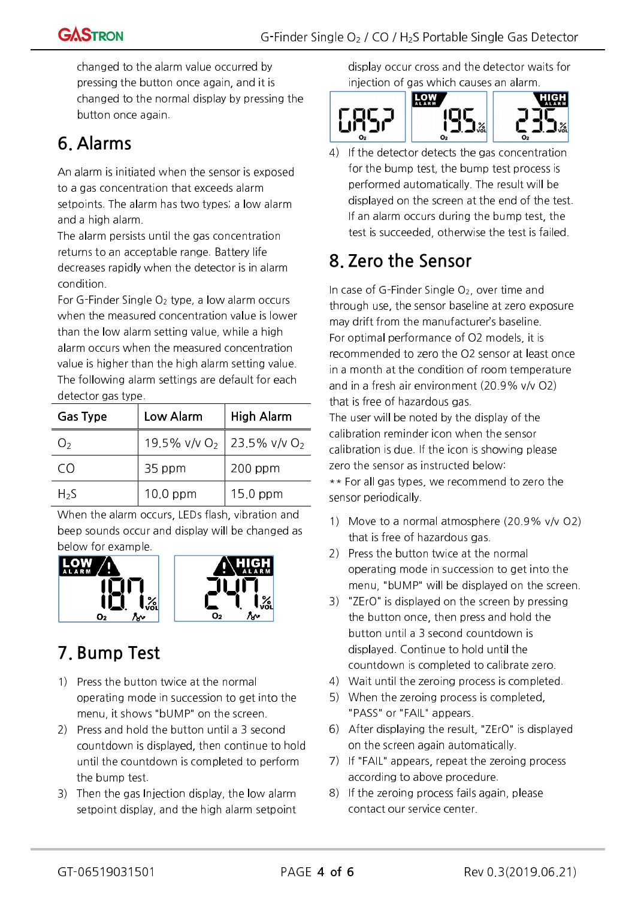changed to the alarm value occurred by pressing the button once again, and it is changed to the normal display by pressing the button once again.

### 6. Alarms

An alarm is initiated when the sensor is exposed to a gas concentration that exceeds alarm setpoints. The alarm has two types; a low alarm and a high alarm.

The alarm persists until the gas concentration returns to an acceptable range. Battery life decreases rapidly when the detector is in alarm condition.

For G-Finder Single  $O<sub>2</sub>$  type, a low alarm occurs when the measured concentration value is lower than the low alarm setting value, while a high alarm occurs when the measured concentration value is higher than the high alarm setting value. The following alarm settings are default for each detector gas type.

| <b>Gas Type</b>   | Low Alarm                                           | High Alarm |  |
|-------------------|-----------------------------------------------------|------------|--|
| $\mathcal{L}_{2}$ | 19.5% v/v O <sub>2</sub>   23.5% v/v O <sub>2</sub> |            |  |
| CΩ                | 35 ppm                                              | $200$ ppm  |  |
| $H_{2}S$          | $10.0$ ppm                                          | $15.0$ ppm |  |

When the alarm occurs, LEDs flash, vibration and beep sounds occur and display will be changed as below for example.





### 7. Bump Test

- 1) Press the button twice at the normal operating mode in succession to get into the menu, it shows "bUMP" on the screen.
- 2) Press and hold the button until a 3 second countdown is displayed, then continue to hold until the countdown is completed to perform the bump test.
- 3) Then the gas Injection display, the low alarm setpoint display, and the high alarm setpoint

display occur cross and the detector waits for injection of gas which causes an alarm.



4) If the detector detects the gas concentration for the bump test, the bump test process is performed automatically. The result will be displayed on the screen at the end of the test. If an alarm occurs during the bump test, the test is succeeded, otherwise the test is failed.

### 8. Zero the Sensor

In case of G-Finder Single  $O<sub>2</sub>$ , over time and through use, the sensor baseline at zero exposure may drift from the manufacturer's baseline. For optimal performance of O2 models, it is recommended to zero the O2 sensor at least once in a month at the condition of room temperature and in a fresh air environment (20.9% v/v O2) that is free of hazardous gas.

The user will be noted by the display of the calibration reminder icon when the sensor calibration is due. If the icon is showing please zero the sensor as instructed below: \*\* For all gas types, we recommend to zero the sensor periodically.

- 1) Move to a normal atmosphere (20.9% v/v O2) that is free of hazardous gas.
- 2) Press the button twice at the normal operating mode in succession to get into the menu, "bUMP" will be displayed on the screen.
- 3) "ZErO" is displayed on the screen by pressing the button once, then press and hold the button until a 3 second countdown is displayed. Continue to hold until the countdown is completed to calibrate zero.
- 4) Wait until the zeroing process is completed.
- 5) When the zeroing process is completed, "PASS" or "FAIL" appears.
- 6) After displaying the result, "ZErO" is displayed on the screen again automatically.
- 7) If "FAIL" appears, repeat the zeroing process according to above procedure.
- 8) If the zeroing process fails again, please contact our service center.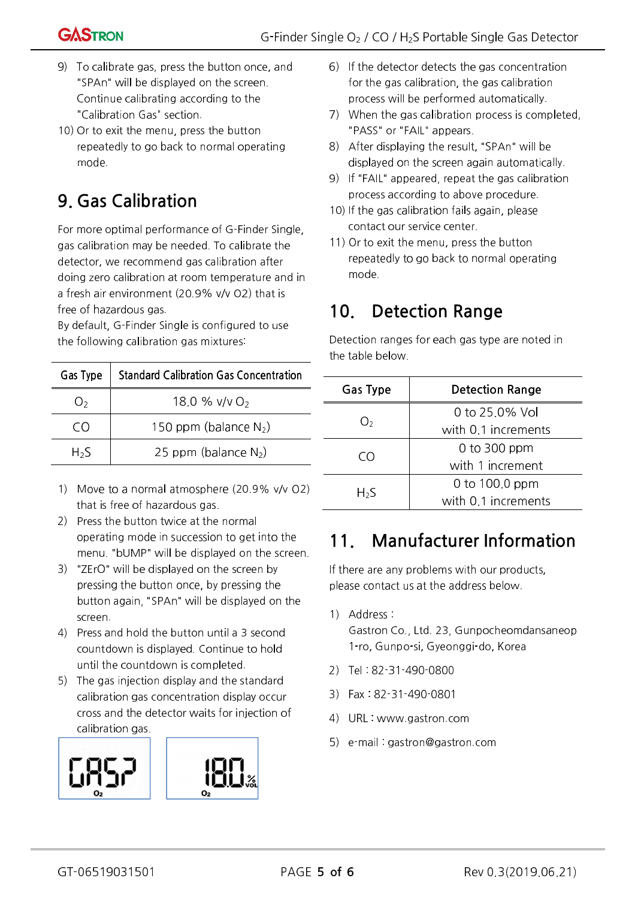

- 9) To calibrate gas, press the button once, and "SPAn" will be displayed on the screen. Continue calibrating according to the "Calibration Gas" section.
- 10) Or to exit the menu, press the button repeatedly to go back to normal operating mode.

### 9. Gas Calibration

For more optimal performance of G-Finder Single, gas calibration may be needed. To calibrate the detector, we recommend gas calibration after doing zero calibration at room temperature and in a fresh air environment (20.9% v/v O2) that is free of hazardous gas.

By default, G-Finder Single is configured to use the following calibration gas mixtures:

| Gas Type | <b>Standard Calibration Gas Concentration</b> |
|----------|-----------------------------------------------|
|          | 18.0 % $v/v O_2$                              |
|          | 150 ppm (balance $N_2$ )                      |
| $H_2S$   | 25 ppm (balance $N_2$ )                       |

- 1) Move to a normal atmosphere (20.9% v/v O2) that is free of hazardous gas.
- 2) Press the button twice at the normal operating mode in succession to get into the menu. "bUMP" will be displayed on the screen.
- 3) "ZErO" will be displayed on the screen by pressing the button once, by pressing the button again, "SPAn" will be displayed on the screen.
- 4) Press and hold the button until a 3 second countdown is displayed. Continue to hold until the countdown is completed.
- 5) The gas injection display and the standard calibration gas concentration display occur cross and the detector waits for injection of calibration gas.





- 7) When the gas calibration process is completed, "PASS" or "FAIL" appears.
- 8) After displaying the result, "SPAn" will be displayed on the screen again automatically.
- 9) If "FAIL" appeared, repeat the gas calibration process according to above procedure.
- 10) If the gas calibration fails again, please contact our service center.
- 11) Or to exit the menu, press the button repeatedly to go back to normal operating mode.

### 10. Detection Range

Detection ranges for each gas type are noted in the table below.

| <b>Gas Type</b> | Detection Range     |  |
|-----------------|---------------------|--|
|                 | 0 to 25.0% Vol      |  |
| O2              | with 0.1 increments |  |
| CO              | $0$ to 300 ppm      |  |
|                 | with 1 increment    |  |
|                 | 0 to $100.0$ ppm    |  |
| $H_{2}S$        | with 0.1 increments |  |

### 11. Manufacturer Information

If there are any problems with our products, please contact us at the address below.

1) Address :

Gastron Co., Ltd. 23, Gunpocheomdansaneop 1-ro, Gunpo-si, Gyeonggi-do, Korea

- 2) Tel : 82-31-490-0800
- 3) Fax : 82-31-490-0801
- 4) URL : www.gastron.com
- 5) e-mail : gastron@gastron.com